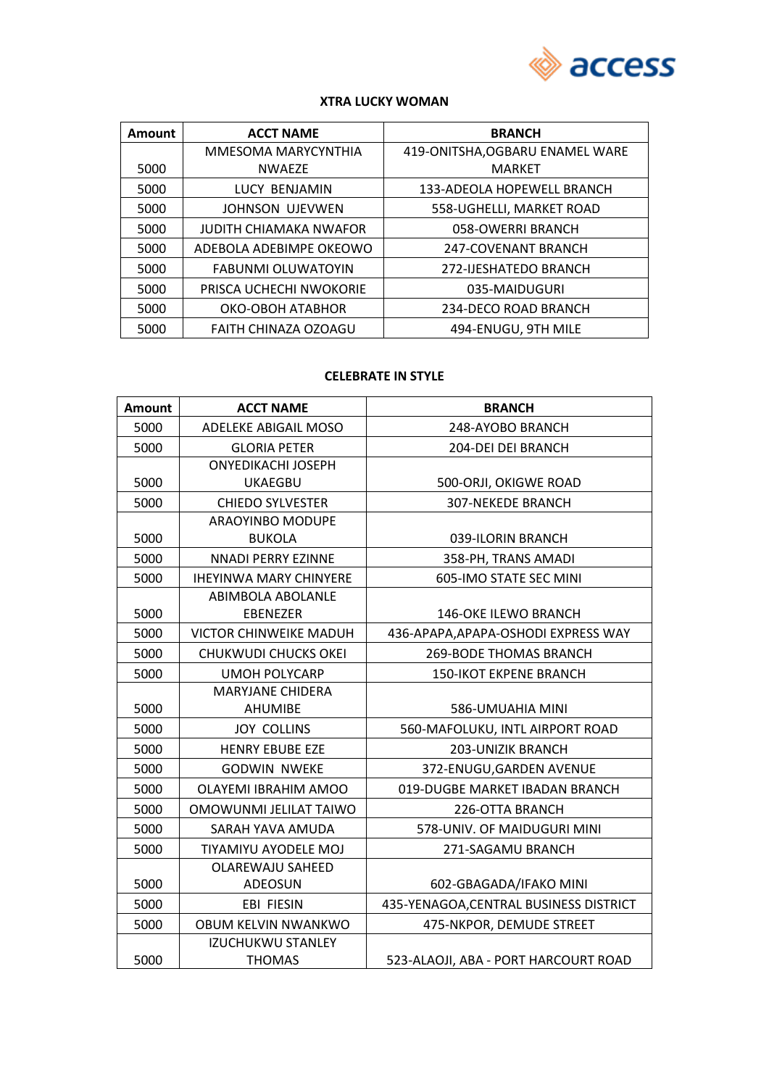

#### **XTRA LUCKY WOMAN**

| Amount | <b>ACCT NAME</b>          | <b>BRANCH</b>                   |
|--------|---------------------------|---------------------------------|
|        | MMESOMA MARYCYNTHIA       | 419-ONITSHA, OGBARU ENAMEL WARE |
| 5000   | <b>NWAEZE</b>             | <b>MARKET</b>                   |
| 5000   | LUCY BENJAMIN             | 133-ADEOLA HOPEWELL BRANCH      |
| 5000   | <b>JOHNSON UJEVWEN</b>    | 558-UGHELLI, MARKET ROAD        |
| 5000   | JUDITH CHIAMAKA NWAFOR    | 058-OWERRI BRANCH               |
| 5000   | ADEBOLA ADEBIMPE OKEOWO   | 247-COVENANT BRANCH             |
| 5000   | <b>FABUNMI OLUWATOYIN</b> | 272-IJESHATEDO BRANCH           |
| 5000   | PRISCA UCHECHI NWOKORIE   | 035-MAIDUGURI                   |
| 5000   | OKO-OBOH ATABHOR          | 234-DECO ROAD BRANCH            |
| 5000   | FAITH CHINAZA OZOAGU      | 494-ENUGU, 9TH MILE             |

## **CELEBRATE IN STYLE**

| <b>Amount</b> | <b>ACCT NAME</b>              | <b>BRANCH</b>                          |
|---------------|-------------------------------|----------------------------------------|
| 5000          | <b>ADELEKE ABIGAIL MOSO</b>   | 248-AYOBO BRANCH                       |
| 5000          | <b>GLORIA PETER</b>           | 204-DEI DEI BRANCH                     |
|               | <b>ONYEDIKACHI JOSEPH</b>     |                                        |
| 5000          | <b>UKAEGBU</b>                | 500-ORJI, OKIGWE ROAD                  |
| 5000          | <b>CHIEDO SYLVESTER</b>       | <b>307-NEKEDE BRANCH</b>               |
|               | ARAOYINBO MODUPE              |                                        |
| 5000          | <b>BUKOLA</b>                 | 039-ILORIN BRANCH                      |
| 5000          | <b>NNADI PERRY EZINNE</b>     | 358-PH, TRANS AMADI                    |
| 5000          | <b>IHEYINWA MARY CHINYERE</b> | 605-IMO STATE SEC MINI                 |
|               | ABIMBOLA ABOLANLE             |                                        |
| 5000          | <b>EBENEZER</b>               | <b>146-OKE ILEWO BRANCH</b>            |
| 5000          | <b>VICTOR CHINWEIKE MADUH</b> | 436-APAPA, APAPA-OSHODI EXPRESS WAY    |
| 5000          | CHUKWUDI CHUCKS OKEI          | <b>269-BODE THOMAS BRANCH</b>          |
| 5000          | <b>UMOH POLYCARP</b>          | <b>150-IKOT EKPENE BRANCH</b>          |
|               | <b>MARYJANE CHIDERA</b>       |                                        |
| 5000          | <b>AHUMIBE</b>                | 586-UMUAHIA MINI                       |
| 5000          | <b>JOY COLLINS</b>            | 560-MAFOLUKU, INTL AIRPORT ROAD        |
| 5000          | <b>HENRY EBUBE EZE</b>        | <b>203-UNIZIK BRANCH</b>               |
| 5000          | <b>GODWIN NWEKE</b>           | 372-ENUGU, GARDEN AVENUE               |
| 5000          | OLAYEMI IBRAHIM AMOO          | 019-DUGBE MARKET IBADAN BRANCH         |
| 5000          | OMOWUNMI JELILAT TAIWO        | 226-OTTA BRANCH                        |
| 5000          | SARAH YAVA AMUDA              | 578-UNIV. OF MAIDUGURI MINI            |
| 5000          | TIYAMIYU AYODELE MOJ          | 271-SAGAMU BRANCH                      |
|               | <b>OLAREWAJU SAHEED</b>       |                                        |
| 5000          | ADEOSUN                       | 602-GBAGADA/IFAKO MINI                 |
| 5000          | <b>EBI FIESIN</b>             | 435-YENAGOA, CENTRAL BUSINESS DISTRICT |
| 5000          | OBUM KELVIN NWANKWO           | 475-NKPOR, DEMUDE STREET               |
|               | <b>IZUCHUKWU STANLEY</b>      |                                        |
| 5000          | <b>THOMAS</b>                 | 523-ALAOJI, ABA - PORT HARCOURT ROAD   |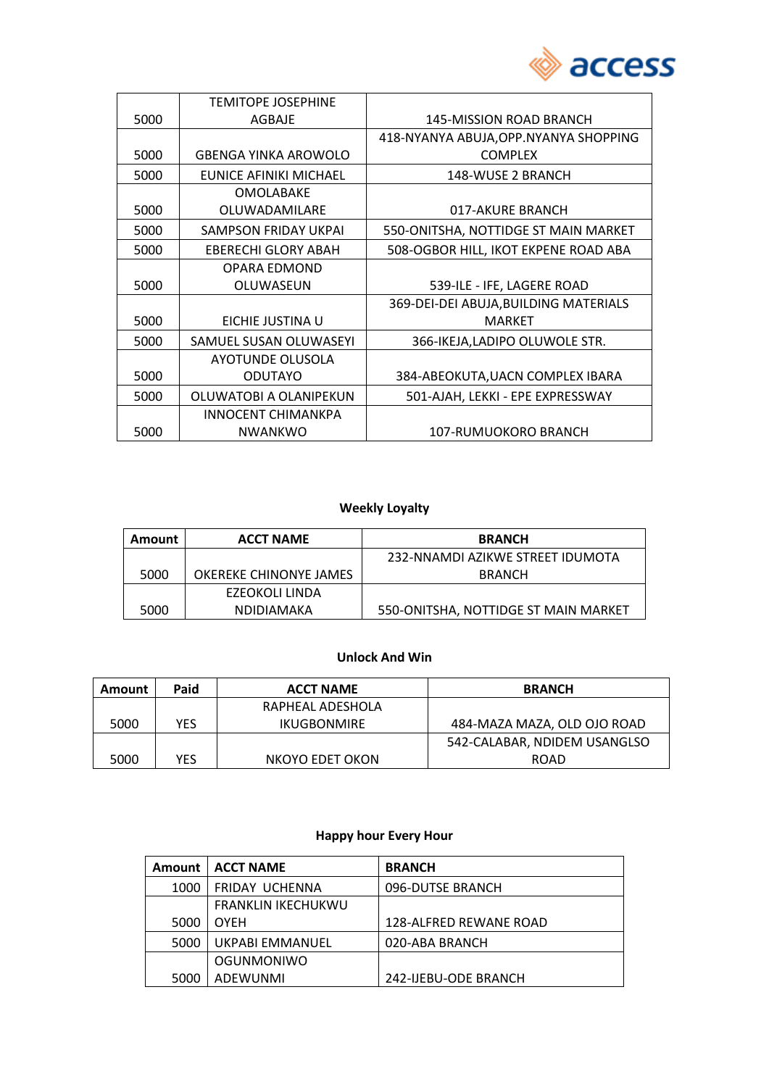

|      | <b>TEMITOPE JOSEPHINE</b>   |                                        |
|------|-----------------------------|----------------------------------------|
| 5000 | AGBAJE                      | 145-MISSION ROAD BRANCH                |
|      |                             | 418-NYANYA ABUJA, OPP. NYANYA SHOPPING |
| 5000 | <b>GBENGA YINKA AROWOLO</b> | <b>COMPLEX</b>                         |
| 5000 | EUNICE AFINIKI MICHAEL      | 148-WUSE 2 BRANCH                      |
|      | <b>OMOLABAKE</b>            |                                        |
| 5000 | OLUWADAMILARE               | 017-AKURE BRANCH                       |
| 5000 | SAMPSON FRIDAY UKPAI        | 550-ONITSHA, NOTTIDGE ST MAIN MARKET   |
| 5000 | <b>EBERECHI GLORY ABAH</b>  | 508-OGBOR HILL, IKOT EKPENE ROAD ABA   |
|      | OPARA EDMOND                |                                        |
| 5000 | OLUWASEUN                   | 539-ILE - IFE, LAGERE ROAD             |
|      |                             | 369-DEI-DEI ABUJA, BUILDING MATERIALS  |
| 5000 | EICHIE JUSTINA U            | <b>MARKET</b>                          |
| 5000 | SAMUEL SUSAN OLUWASEYI      | 366-IKEJA,LADIPO OLUWOLE STR.          |
|      | AYOTUNDE OLUSOLA            |                                        |
| 5000 | <b>ODUTAYO</b>              | 384-ABEOKUTA, UACN COMPLEX IBARA       |
| 5000 | OLUWATOBI A OLANIPEKUN      | 501-AJAH, LEKKI - EPE EXPRESSWAY       |
|      | <b>INNOCENT CHIMANKPA</b>   |                                        |
| 5000 | <b>NWANKWO</b>              | 107-RUMUOKORO BRANCH                   |

# **Weekly Loyalty**

| <b>Amount</b> | <b>ACCT NAME</b>       | <b>BRANCH</b>                        |
|---------------|------------------------|--------------------------------------|
|               |                        | 232-NNAMDI AZIKWE STREET IDUMOTA     |
| 5000          | OKEREKE CHINONYE JAMES | <b>BRANCH</b>                        |
|               | EZEOKOLI LINDA         |                                      |
| 5000          | <b>NDIDIAMAKA</b>      | 550-ONITSHA, NOTTIDGE ST MAIN MARKET |

## **Unlock And Win**

| Amount | Paid | <b>ACCT NAME</b> | <b>BRANCH</b>                |
|--------|------|------------------|------------------------------|
|        |      | RAPHEAL ADESHOLA |                              |
| 5000   | YES  | IKUGBONMIRE      | 484-MAZA MAZA. OLD OJO ROAD  |
|        |      |                  | 542-CALABAR, NDIDEM USANGLSO |
| 5000   | YES  | NKOYO EDET OKON  | <b>ROAD</b>                  |

# **Happy hour Every Hour**

| <b>Amount</b> | <b>ACCT NAME</b>          | <b>BRANCH</b>          |
|---------------|---------------------------|------------------------|
| 1000          | FRIDAY UCHENNA            | 096-DUTSE BRANCH       |
|               | <b>FRANKLIN IKECHUKWU</b> |                        |
| 5000          | <b>OYEH</b>               | 128-ALFRED REWANE ROAD |
| 5000          | UKPABI EMMANUEL           | 020-ABA BRANCH         |
|               | OGUNMONIWO                |                        |
| 5000          | ADEWUNMI                  | 242-IJEBU-ODE BRANCH   |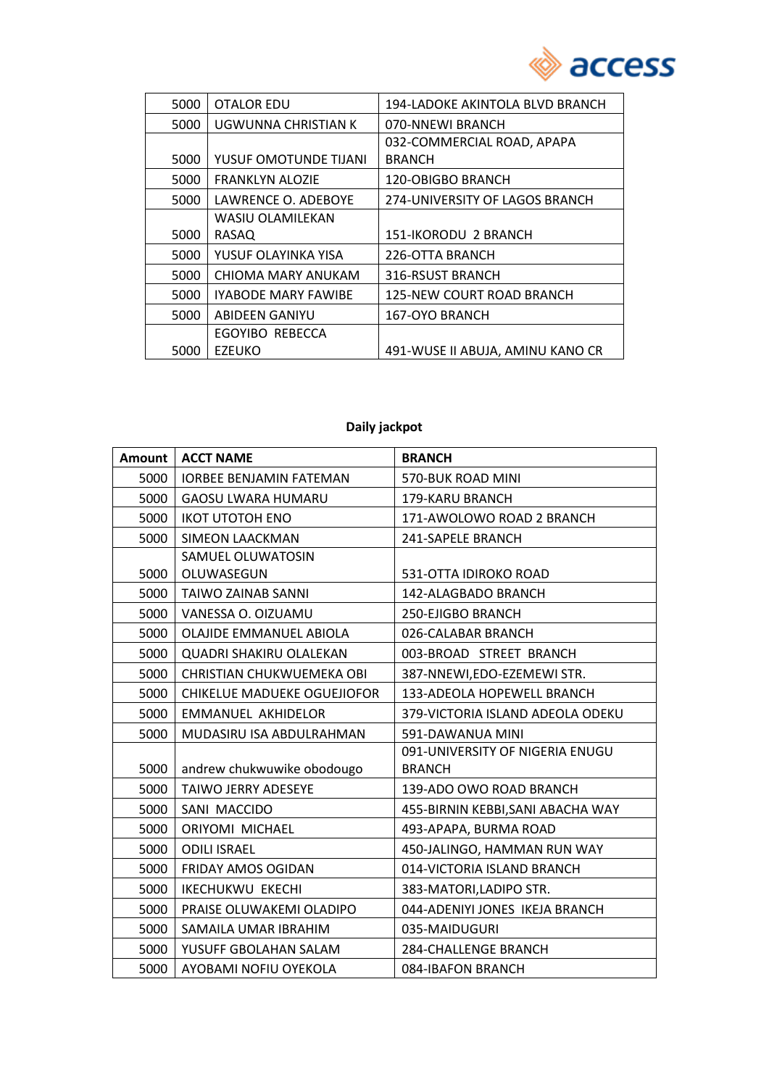

| 5000 | <b>OTALOR EDU</b>          | 194-LADOKE AKINTOLA BLVD BRANCH  |
|------|----------------------------|----------------------------------|
| 5000 | UGWUNNA CHRISTIAN K        | 070-NNEWI BRANCH                 |
|      |                            | 032-COMMERCIAL ROAD, APAPA       |
| 5000 | YUSUF OMOTUNDE TIJANI      | <b>BRANCH</b>                    |
| 5000 | <b>FRANKLYN ALOZIE</b>     | <b>120-OBIGBO BRANCH</b>         |
| 5000 | LAWRENCE O. ADEBOYE        | 274-UNIVERSITY OF LAGOS BRANCH   |
|      | WASIU OLAMILEKAN           |                                  |
| 5000 | RASAQ                      | 151-IKORODU 2 BRANCH             |
| 5000 | YUSUF OLAYINKA YISA        | 226-OTTA BRANCH                  |
| 5000 | CHIOMA MARY ANUKAM         | 316-RSUST BRANCH                 |
| 5000 | <b>IYABODE MARY FAWIBE</b> | <b>125-NEW COURT ROAD BRANCH</b> |
| 5000 | <b>ABIDEEN GANIYU</b>      | 167-OYO BRANCH                   |
|      | EGOYIBO REBECCA            |                                  |
| 5000 | <b>EZEUKO</b>              | 491-WUSE II ABUJA, AMINU KANO CR |

# **Daily jackpot**

| Amount | <b>ACCT NAME</b>                   | <b>BRANCH</b>                     |
|--------|------------------------------------|-----------------------------------|
| 5000   | <b>IORBEE BENJAMIN FATEMAN</b>     | 570-BUK ROAD MINI                 |
| 5000   | <b>GAOSU LWARA HUMARU</b>          | 179-KARU BRANCH                   |
| 5000   | <b>IKOT UTOTOH ENO</b>             | 171-AWOLOWO ROAD 2 BRANCH         |
| 5000   | <b>SIMEON LAACKMAN</b>             | 241-SAPELE BRANCH                 |
|        | SAMUEL OLUWATOSIN                  |                                   |
| 5000   | OLUWASEGUN                         | 531-OTTA IDIROKO ROAD             |
| 5000   | <b>TAIWO ZAINAB SANNI</b>          | 142-ALAGBADO BRANCH               |
| 5000   | VANESSA O. OIZUAMU                 | 250-EJIGBO BRANCH                 |
| 5000   | OLAJIDE EMMANUEL ABIOLA            | 026-CALABAR BRANCH                |
| 5000   | <b>QUADRI SHAKIRU OLALEKAN</b>     | 003-BROAD STREET BRANCH           |
| 5000   | CHRISTIAN CHUKWUEMEKA OBI          | 387-NNEWI, EDO-EZEMEWI STR.       |
| 5000   | <b>CHIKELUE MADUEKE OGUEJIOFOR</b> | 133-ADEOLA HOPEWELL BRANCH        |
| 5000   | <b>EMMANUEL AKHIDELOR</b>          | 379-VICTORIA ISLAND ADEOLA ODEKU  |
| 5000   | MUDASIRU ISA ABDULRAHMAN           | 591-DAWANUA MINI                  |
|        |                                    | 091-UNIVERSITY OF NIGERIA ENUGU   |
| 5000   | andrew chukwuwike obodougo         | <b>BRANCH</b>                     |
| 5000   | <b>TAIWO JERRY ADESEYE</b>         | 139-ADO OWO ROAD BRANCH           |
| 5000   | SANI MACCIDO                       | 455-BIRNIN KEBBI, SANI ABACHA WAY |
| 5000   | ORIYOMI MICHAEL                    | 493-APAPA, BURMA ROAD             |
| 5000   | <b>ODILI ISRAEL</b>                | 450-JALINGO, HAMMAN RUN WAY       |
| 5000   | FRIDAY AMOS OGIDAN                 | 014-VICTORIA ISLAND BRANCH        |
| 5000   | <b>IKECHUKWU EKECHI</b>            | 383-MATORI, LADIPO STR.           |
| 5000   | PRAISE OLUWAKEMI OLADIPO           | 044-ADENIYI JONES IKEJA BRANCH    |
| 5000   | SAMAILA UMAR IBRAHIM               | 035-MAIDUGURI                     |
| 5000   | YUSUFF GBOLAHAN SALAM              | <b>284-CHALLENGE BRANCH</b>       |
| 5000   | AYOBAMI NOFIU OYEKOLA              | 084-IBAFON BRANCH                 |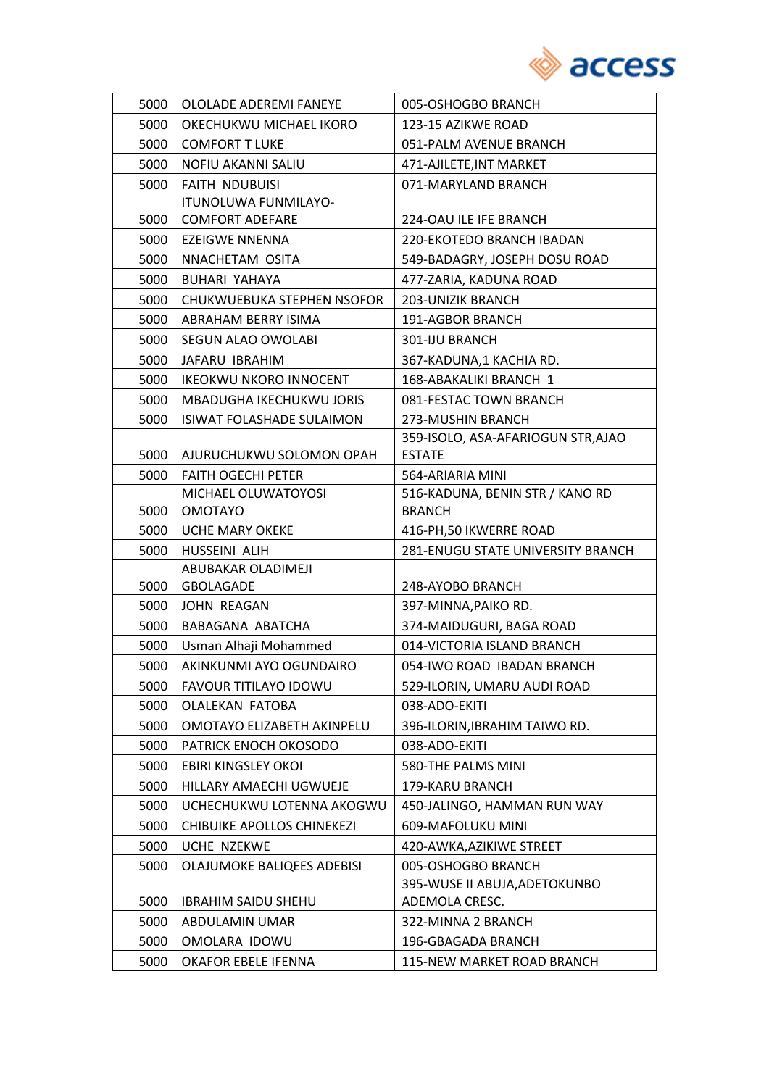

| 5000 | OLOLADE ADEREMI FANEYE                 | 005-OSHOGBO BRANCH                 |
|------|----------------------------------------|------------------------------------|
| 5000 | OKECHUKWU MICHAEL IKORO                | 123-15 AZIKWE ROAD                 |
| 5000 | <b>COMFORT T LUKE</b>                  | 051-PALM AVENUE BRANCH             |
| 5000 | NOFIU AKANNI SALIU                     | 471-AJILETE, INT MARKET            |
| 5000 | <b>FAITH NDUBUISI</b>                  | 071-MARYLAND BRANCH                |
|      | ITUNOLUWA FUNMILAYO-                   |                                    |
| 5000 | <b>COMFORT ADEFARE</b>                 | 224-OAU ILE IFE BRANCH             |
| 5000 | <b>EZEIGWE NNENNA</b>                  | 220-EKOTEDO BRANCH IBADAN          |
| 5000 | NNACHETAM OSITA                        | 549-BADAGRY, JOSEPH DOSU ROAD      |
| 5000 | BUHARI YAHAYA                          | 477-ZARIA, KADUNA ROAD             |
| 5000 | CHUKWUEBUKA STEPHEN NSOFOR             | 203-UNIZIK BRANCH                  |
| 5000 | ABRAHAM BERRY ISIMA                    | 191-AGBOR BRANCH                   |
| 5000 | SEGUN ALAO OWOLABI                     | 301-IJU BRANCH                     |
| 5000 | JAFARU IBRAHIM                         | 367-KADUNA,1 KACHIA RD.            |
| 5000 | <b>IKEOKWU NKORO INNOCENT</b>          | 168-ABAKALIKI BRANCH 1             |
| 5000 | MBADUGHA IKECHUKWU JORIS               | 081-FESTAC TOWN BRANCH             |
| 5000 | <b>ISIWAT FOLASHADE SULAIMON</b>       | 273-MUSHIN BRANCH                  |
|      |                                        | 359-ISOLO, ASA-AFARIOGUN STR, AJAO |
| 5000 | AJURUCHUKWU SOLOMON OPAH               | <b>ESTATE</b>                      |
| 5000 | <b>FAITH OGECHI PETER</b>              | 564-ARIARIA MINI                   |
|      | MICHAEL OLUWATOYOSI                    | 516-KADUNA, BENIN STR / KANO RD    |
| 5000 | <b>OMOTAYO</b>                         | <b>BRANCH</b>                      |
| 5000 | <b>UCHE MARY OKEKE</b>                 | 416-PH,50 IKWERRE ROAD             |
| 5000 | HUSSEINI ALIH                          | 281-ENUGU STATE UNIVERSITY BRANCH  |
| 5000 | ABUBAKAR OLADIMEJI<br><b>GBOLAGADE</b> | 248-AYOBO BRANCH                   |
| 5000 | JOHN REAGAN                            | 397-MINNA, PAIKO RD.               |
| 5000 | BABAGANA ABATCHA                       | 374-MAIDUGURI, BAGA ROAD           |
| 5000 | Usman Alhaji Mohammed                  | 014-VICTORIA ISLAND BRANCH         |
| 5000 | AKINKUNMI AYO OGUNDAIRO                | 054-IWO ROAD IBADAN BRANCH         |
| 5000 | <b>FAVOUR TITILAYO IDOWU</b>           | 529-ILORIN, UMARU AUDI ROAD        |
| 5000 | <b>OLALEKAN FATOBA</b>                 | 038-ADO-EKITI                      |
| 5000 | OMOTAYO ELIZABETH AKINPELU             | 396-ILORIN, IBRAHIM TAIWO RD.      |
| 5000 | PATRICK ENOCH OKOSODO                  | 038-ADO-EKITI                      |
| 5000 | EBIRI KINGSLEY OKOI                    | 580-THE PALMS MINI                 |
| 5000 | HILLARY AMAECHI UGWUEJE                | 179-KARU BRANCH                    |
| 5000 | UCHECHUKWU LOTENNA AKOGWU              | 450-JALINGO, HAMMAN RUN WAY        |
| 5000 | CHIBUIKE APOLLOS CHINEKEZI             | 609-MAFOLUKU MINI                  |
| 5000 | <b>UCHE NZEKWE</b>                     | 420-AWKA, AZIKIWE STREET           |
| 5000 | OLAJUMOKE BALIQEES ADEBISI             | 005-OSHOGBO BRANCH                 |
|      |                                        | 395-WUSE II ABUJA, ADETOKUNBO      |
| 5000 | <b>IBRAHIM SAIDU SHEHU</b>             | ADEMOLA CRESC.                     |
| 5000 | ABDULAMIN UMAR                         | 322-MINNA 2 BRANCH                 |
| 5000 | OMOLARA IDOWU                          | 196-GBAGADA BRANCH                 |
| 5000 | OKAFOR EBELE IFENNA                    | 115-NEW MARKET ROAD BRANCH         |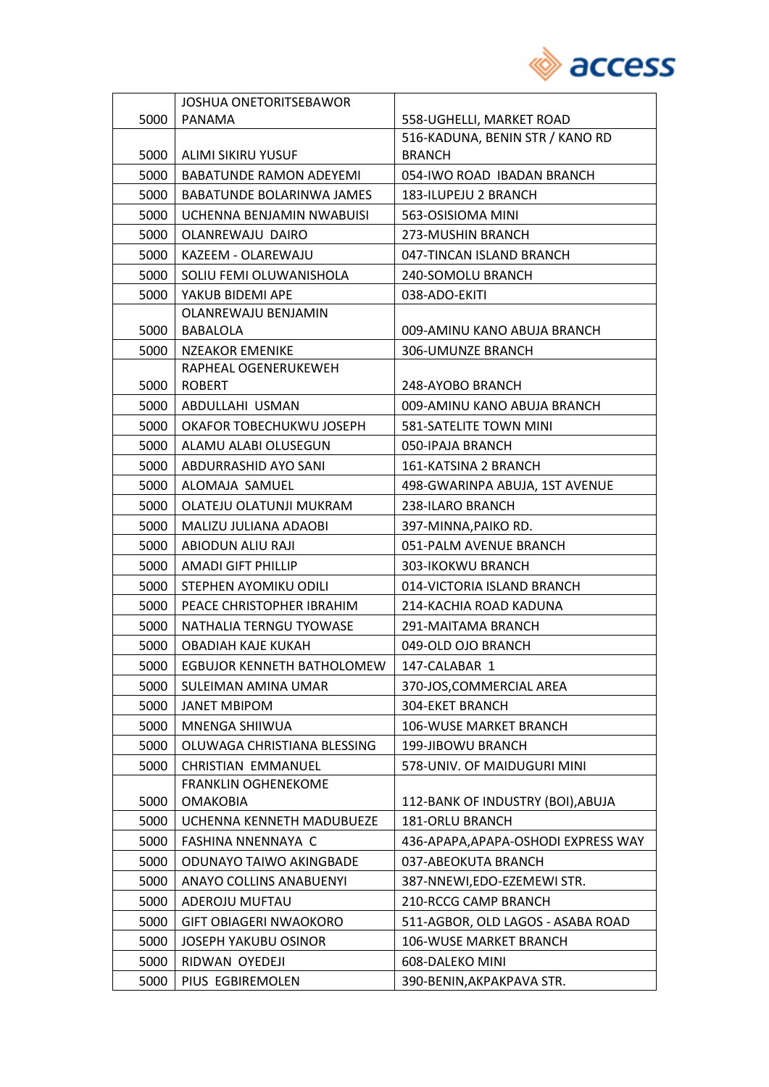

|      | <b>JOSHUA ONETORITSEBAWOR</b>  |                                     |
|------|--------------------------------|-------------------------------------|
| 5000 | <b>PANAMA</b>                  | 558-UGHELLI, MARKET ROAD            |
|      |                                | 516-KADUNA, BENIN STR / KANO RD     |
| 5000 | ALIMI SIKIRU YUSUF             | <b>BRANCH</b>                       |
| 5000 | <b>BABATUNDE RAMON ADEYEMI</b> | 054-IWO ROAD IBADAN BRANCH          |
| 5000 | BABATUNDE BOLARINWA JAMES      | 183-ILUPEJU 2 BRANCH                |
| 5000 | UCHENNA BENJAMIN NWABUISI      | 563-OSISIOMA MINI                   |
| 5000 | OLANREWAJU DAIRO               | 273-MUSHIN BRANCH                   |
| 5000 | KAZEEM - OLAREWAJU             | 047-TINCAN ISLAND BRANCH            |
| 5000 | SOLIU FEMI OLUWANISHOLA        | 240-SOMOLU BRANCH                   |
| 5000 | YAKUB BIDEMI APE               | 038-ADO-EKITI                       |
|      | OLANREWAJU BENJAMIN            |                                     |
| 5000 | BABALOLA                       | 009-AMINU KANO ABUJA BRANCH         |
| 5000 | <b>NZEAKOR EMENIKE</b>         | 306-UMUNZE BRANCH                   |
|      | RAPHEAL OGENERUKEWEH           |                                     |
| 5000 | <b>ROBERT</b>                  | 248-AYOBO BRANCH                    |
| 5000 | ABDULLAHI USMAN                | 009-AMINU KANO ABUJA BRANCH         |
| 5000 | OKAFOR TOBECHUKWU JOSEPH       | 581-SATELITE TOWN MINI              |
| 5000 | ALAMU ALABI OLUSEGUN           | 050-IPAJA BRANCH                    |
| 5000 | ABDURRASHID AYO SANI           | 161-KATSINA 2 BRANCH                |
| 5000 | ALOMAJA SAMUEL                 | 498-GWARINPA ABUJA, 1ST AVENUE      |
| 5000 | OLATEJU OLATUNJI MUKRAM        | 238-ILARO BRANCH                    |
| 5000 | MALIZU JULIANA ADAOBI          | 397-MINNA, PAIKO RD.                |
| 5000 | ABIODUN ALIU RAJI              | 051-PALM AVENUE BRANCH              |
| 5000 | <b>AMADI GIFT PHILLIP</b>      | 303-IKOKWU BRANCH                   |
| 5000 | STEPHEN AYOMIKU ODILI          | 014-VICTORIA ISLAND BRANCH          |
| 5000 | PEACE CHRISTOPHER IBRAHIM      | 214-KACHIA ROAD KADUNA              |
| 5000 | NATHALIA TERNGU TYOWASE        | 291-MAITAMA BRANCH                  |
| 5000 | OBADIAH KAJE KUKAH             | 049-OLD OJO BRANCH                  |
| 5000 | EGBUJOR KENNETH BATHOLOMEW     | 147-CALABAR 1                       |
| 5000 | SULEIMAN AMINA UMAR            | 370-JOS, COMMERCIAL AREA            |
| 5000 | <b>JANET MBIPOM</b>            | 304-EKET BRANCH                     |
| 5000 | MNENGA SHIIWUA                 | 106-WUSE MARKET BRANCH              |
| 5000 | OLUWAGA CHRISTIANA BLESSING    | 199-JIBOWU BRANCH                   |
| 5000 | <b>CHRISTIAN EMMANUEL</b>      | 578-UNIV. OF MAIDUGURI MINI         |
|      | <b>FRANKLIN OGHENEKOME</b>     |                                     |
| 5000 | <b>OMAKOBIA</b>                | 112-BANK OF INDUSTRY (BOI), ABUJA   |
| 5000 | UCHENNA KENNETH MADUBUEZE      | <b>181-ORLU BRANCH</b>              |
| 5000 | FASHINA NNENNAYA C             | 436-APAPA, APAPA-OSHODI EXPRESS WAY |
| 5000 | ODUNAYO TAIWO AKINGBADE        | 037-ABEOKUTA BRANCH                 |
| 5000 | <b>ANAYO COLLINS ANABUENYI</b> | 387-NNEWI, EDO-EZEMEWI STR.         |
| 5000 | ADEROJU MUFTAU                 | 210-RCCG CAMP BRANCH                |
| 5000 | <b>GIFT OBIAGERI NWAOKORO</b>  | 511-AGBOR, OLD LAGOS - ASABA ROAD   |
| 5000 | JOSEPH YAKUBU OSINOR           | <b>106-WUSE MARKET BRANCH</b>       |
| 5000 | RIDWAN OYEDEJI                 | 608-DALEKO MINI                     |
| 5000 | PIUS EGBIREMOLEN               | 390-BENIN, AKPAKPAVA STR.           |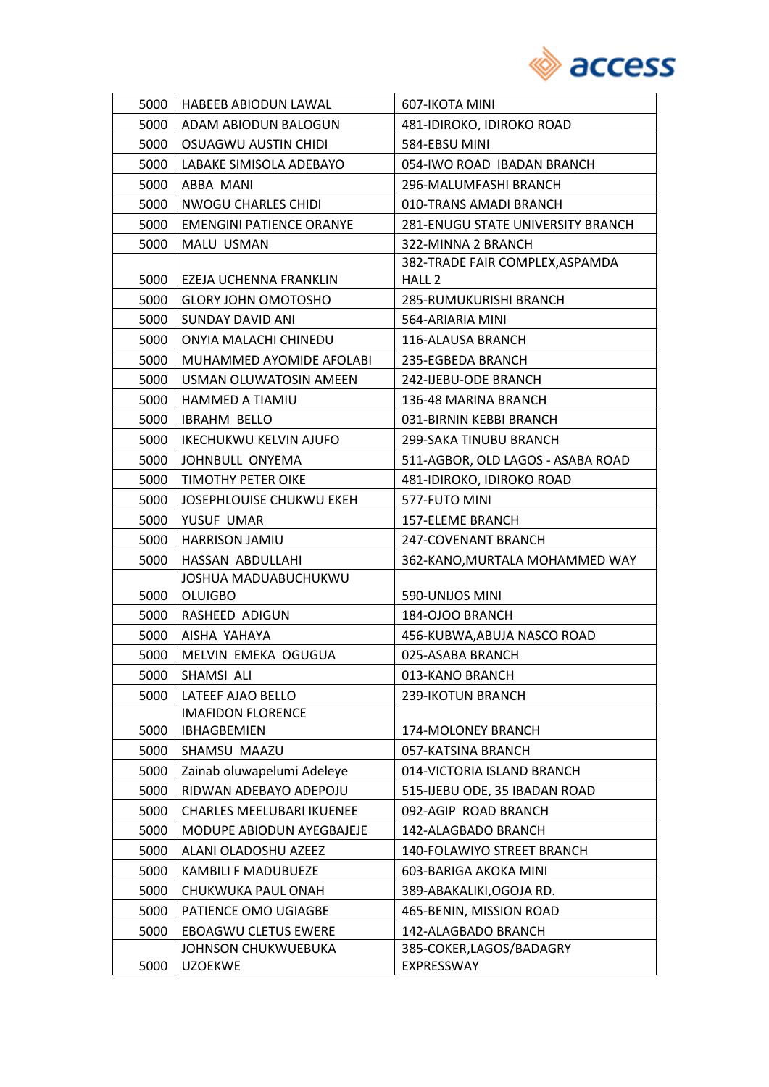

| 5000 | HABEEB ABIODUN LAWAL             | 607-IKOTA MINI                           |
|------|----------------------------------|------------------------------------------|
| 5000 | ADAM ABIODUN BALOGUN             | 481-IDIROKO, IDIROKO ROAD                |
| 5000 | <b>OSUAGWU AUSTIN CHIDI</b>      | 584-EBSU MINI                            |
| 5000 | LABAKE SIMISOLA ADEBAYO          | 054-IWO ROAD IBADAN BRANCH               |
| 5000 | ABBA MANI                        | 296-MALUMFASHI BRANCH                    |
| 5000 | <b>NWOGU CHARLES CHIDI</b>       | 010-TRANS AMADI BRANCH                   |
| 5000 | <b>EMENGINI PATIENCE ORANYE</b>  | <b>281-ENUGU STATE UNIVERSITY BRANCH</b> |
| 5000 | <b>MALU USMAN</b>                | 322-MINNA 2 BRANCH                       |
|      |                                  | 382-TRADE FAIR COMPLEX, ASPAMDA          |
| 5000 | EZEJA UCHENNA FRANKLIN           | HALL <sub>2</sub>                        |
| 5000 | <b>GLORY JOHN OMOTOSHO</b>       | 285-RUMUKURISHI BRANCH                   |
| 5000 | SUNDAY DAVID ANI                 | 564-ARIARIA MINI                         |
| 5000 | ONYIA MALACHI CHINEDU            | 116-ALAUSA BRANCH                        |
| 5000 | MUHAMMED AYOMIDE AFOLABI         | 235-EGBEDA BRANCH                        |
| 5000 | USMAN OLUWATOSIN AMEEN           | 242-IJEBU-ODE BRANCH                     |
| 5000 | HAMMED A TIAMIU                  | 136-48 MARINA BRANCH                     |
| 5000 | <b>IBRAHM BELLO</b>              | 031-BIRNIN KEBBI BRANCH                  |
| 5000 | <b>IKECHUKWU KELVIN AJUFO</b>    | 299-SAKA TINUBU BRANCH                   |
| 5000 | JOHNBULL ONYEMA                  | 511-AGBOR, OLD LAGOS - ASABA ROAD        |
| 5000 | TIMOTHY PETER OIKE               | 481-IDIROKO, IDIROKO ROAD                |
| 5000 | JOSEPHLOUISE CHUKWU EKEH         | 577-FUTO MINI                            |
| 5000 | YUSUF UMAR                       | <b>157-ELEME BRANCH</b>                  |
| 5000 | HARRISON JAMIU                   | 247-COVENANT BRANCH                      |
| 5000 | HASSAN ABDULLAHI                 | 362-KANO, MURTALA MOHAMMED WAY           |
|      | JOSHUA MADUABUCHUKWU             |                                          |
| 5000 | <b>OLUIGBO</b>                   | 590-UNIJOS MINI                          |
| 5000 | RASHEED ADIGUN                   | 184-OJOO BRANCH                          |
| 5000 | AISHA YAHAYA                     | 456-KUBWA, ABUJA NASCO ROAD              |
| 5000 | MELVIN EMEKA OGUGUA              | 025-ASABA BRANCH                         |
| 5000 | SHAMSI ALI                       | 013-KANO BRANCH                          |
| 5000 | LATEEF AJAO BELLO                | 239-IKOTUN BRANCH                        |
|      | <b>IMAFIDON FLORENCE</b>         |                                          |
| 5000 | <b>IBHAGBEMIEN</b>               | 174-MOLONEY BRANCH                       |
| 5000 | SHAMSU MAAZU                     | 057-KATSINA BRANCH                       |
| 5000 | Zainab oluwapelumi Adeleye       | 014-VICTORIA ISLAND BRANCH               |
| 5000 | RIDWAN ADEBAYO ADEPOJU           | 515-IJEBU ODE, 35 IBADAN ROAD            |
| 5000 | <b>CHARLES MEELUBARI IKUENEE</b> | 092-AGIP ROAD BRANCH                     |
| 5000 | MODUPE ABIODUN AYEGBAJEJE        | 142-ALAGBADO BRANCH                      |
| 5000 | ALANI OLADOSHU AZEEZ             | 140-FOLAWIYO STREET BRANCH               |
| 5000 | KAMBILI F MADUBUEZE              | 603-BARIGA AKOKA MINI                    |
| 5000 | CHUKWUKA PAUL ONAH               | 389-ABAKALIKI, OGOJA RD.                 |
| 5000 | PATIENCE OMO UGIAGBE             | 465-BENIN, MISSION ROAD                  |
| 5000 | <b>EBOAGWU CLETUS EWERE</b>      | 142-ALAGBADO BRANCH                      |
|      | JOHNSON CHUKWUEBUKA              | 385-COKER, LAGOS/BADAGRY                 |
| 5000 | <b>UZOEKWE</b>                   | EXPRESSWAY                               |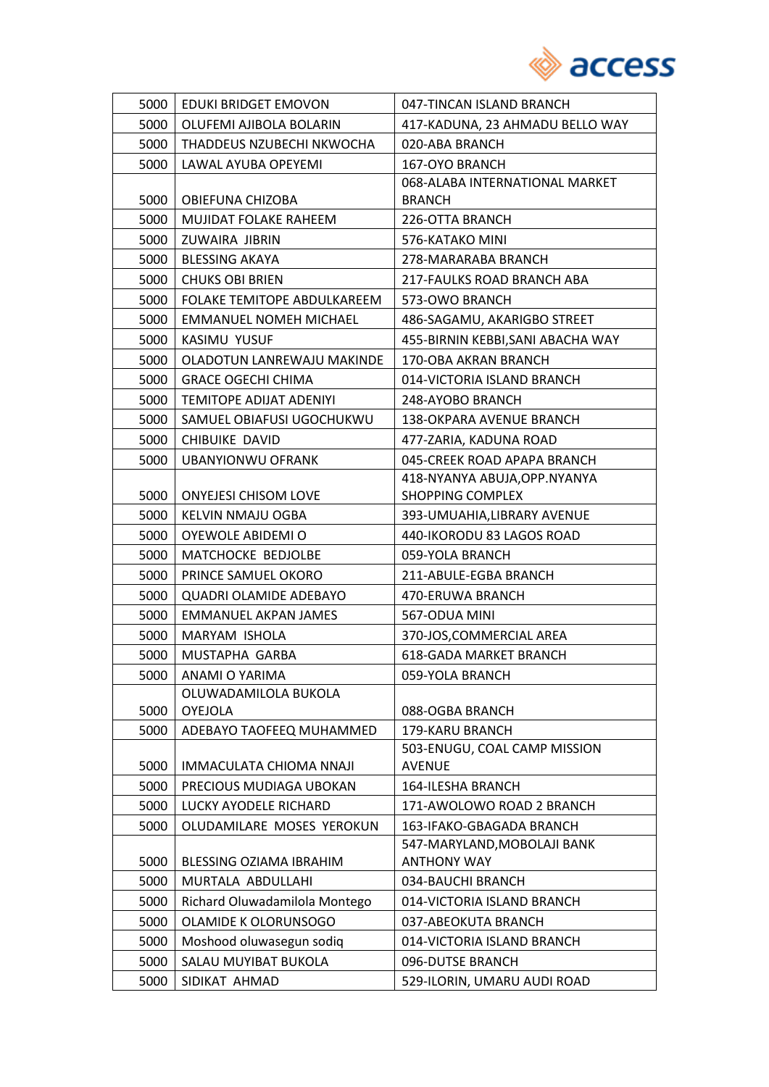

| 5000 | EDUKI BRIDGET EMOVON           | 047-TINCAN ISLAND BRANCH                          |
|------|--------------------------------|---------------------------------------------------|
| 5000 | OLUFEMI AJIBOLA BOLARIN        | 417-KADUNA, 23 AHMADU BELLO WAY                   |
| 5000 | THADDEUS NZUBECHI NKWOCHA      | 020-ABA BRANCH                                    |
| 5000 | LAWAL AYUBA OPEYEMI            | 167-OYO BRANCH                                    |
|      |                                | 068-ALABA INTERNATIONAL MARKET                    |
| 5000 | OBIEFUNA CHIZOBA               | <b>BRANCH</b>                                     |
| 5000 | MUJIDAT FOLAKE RAHEEM          | 226-OTTA BRANCH                                   |
| 5000 | ZUWAIRA JIBRIN                 | 576-KATAKO MINI                                   |
| 5000 | <b>BLESSING AKAYA</b>          | 278-MARARABA BRANCH                               |
| 5000 | <b>CHUKS OBI BRIEN</b>         | 217-FAULKS ROAD BRANCH ABA                        |
| 5000 | FOLAKE TEMITOPE ABDULKAREEM    | 573-OWO BRANCH                                    |
| 5000 | <b>EMMANUEL NOMEH MICHAEL</b>  | 486-SAGAMU, AKARIGBO STREET                       |
| 5000 | KASIMU YUSUF                   | 455-BIRNIN KEBBI, SANI ABACHA WAY                 |
| 5000 | OLADOTUN LANREWAJU MAKINDE     | 170-OBA AKRAN BRANCH                              |
| 5000 | <b>GRACE OGECHI CHIMA</b>      | 014-VICTORIA ISLAND BRANCH                        |
| 5000 | <b>TEMITOPE ADIJAT ADENIYI</b> | 248-AYOBO BRANCH                                  |
| 5000 | SAMUEL OBIAFUSI UGOCHUKWU      | 138-OKPARA AVENUE BRANCH                          |
| 5000 | <b>CHIBUIKE DAVID</b>          | 477-ZARIA, KADUNA ROAD                            |
| 5000 | <b>UBANYIONWU OFRANK</b>       | 045-CREEK ROAD APAPA BRANCH                       |
|      |                                | 418-NYANYA ABUJA, OPP. NYANYA                     |
| 5000 | <b>ONYEJESI CHISOM LOVE</b>    | <b>SHOPPING COMPLEX</b>                           |
| 5000 | KELVIN NMAJU OGBA              | 393-UMUAHIA, LIBRARY AVENUE                       |
| 5000 | OYEWOLE ABIDEMI O              | 440-IKORODU 83 LAGOS ROAD                         |
| 5000 | MATCHOCKE BEDJOLBE             | 059-YOLA BRANCH                                   |
| 5000 | PRINCE SAMUEL OKORO            | 211-ABULE-EGBA BRANCH                             |
| 5000 | <b>QUADRI OLAMIDE ADEBAYO</b>  | 470-ERUWA BRANCH                                  |
| 5000 | <b>EMMANUEL AKPAN JAMES</b>    | 567-ODUA MINI                                     |
| 5000 | MARYAM ISHOLA                  | 370-JOS, COMMERCIAL AREA                          |
| 5000 | MUSTAPHA GARBA                 | <b>618-GADA MARKET BRANCH</b>                     |
| 5000 | ANAMI O YARIMA                 | 059-YOLA BRANCH                                   |
|      | OLUWADAMILOLA BUKOLA           |                                                   |
| 5000 | <b>OYEJOLA</b>                 | 088-OGBA BRANCH                                   |
| 5000 | ADEBAYO TAOFEEQ MUHAMMED       | 179-KARU BRANCH                                   |
|      |                                | 503-ENUGU, COAL CAMP MISSION                      |
| 5000 | IMMACULATA CHIOMA NNAJI        | <b>AVENUE</b>                                     |
| 5000 | PRECIOUS MUDIAGA UBOKAN        | 164-ILESHA BRANCH                                 |
| 5000 | LUCKY AYODELE RICHARD          | 171-AWOLOWO ROAD 2 BRANCH                         |
| 5000 | OLUDAMILARE MOSES YEROKUN      | 163-IFAKO-GBAGADA BRANCH                          |
| 5000 | BLESSING OZIAMA IBRAHIM        | 547-MARYLAND, MOBOLAJI BANK<br><b>ANTHONY WAY</b> |
| 5000 | MURTALA ABDULLAHI              | 034-BAUCHI BRANCH                                 |
| 5000 | Richard Oluwadamilola Montego  | 014-VICTORIA ISLAND BRANCH                        |
| 5000 | OLAMIDE K OLORUNSOGO           | 037-ABEOKUTA BRANCH                               |
| 5000 | Moshood oluwasegun sodiq       | 014-VICTORIA ISLAND BRANCH                        |
|      |                                |                                                   |
| 5000 | SALAU MUYIBAT BUKOLA           | 096-DUTSE BRANCH                                  |
| 5000 | SIDIKAT AHMAD                  | 529-ILORIN, UMARU AUDI ROAD                       |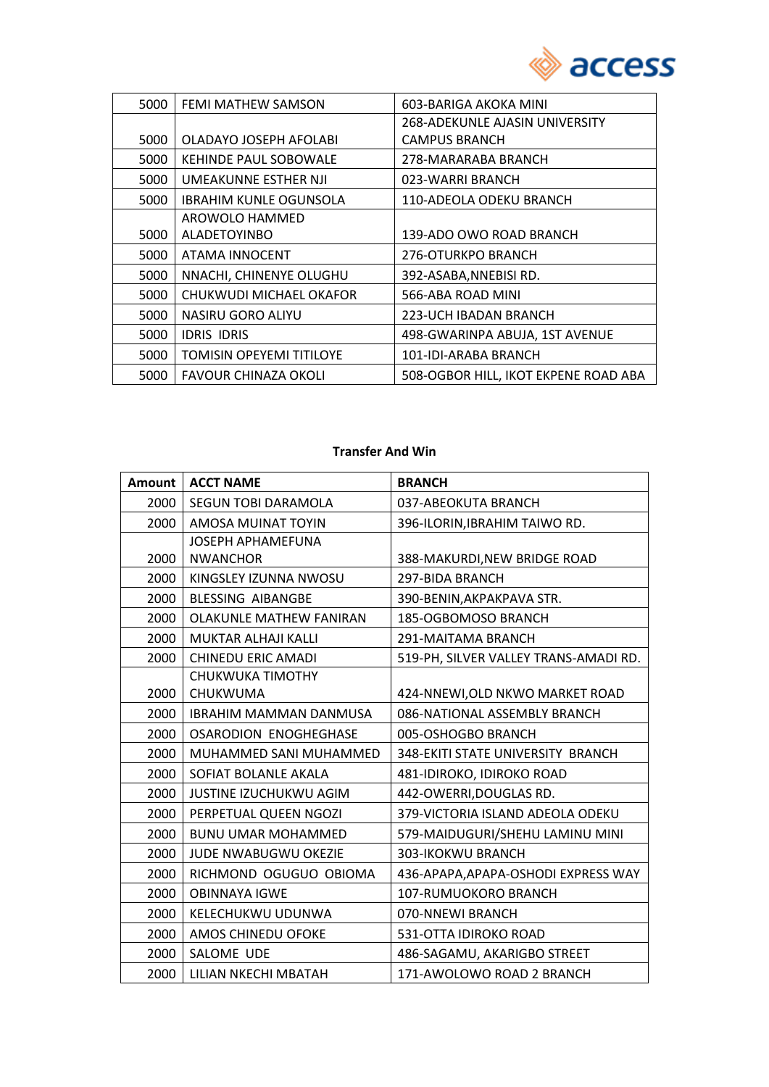

| 5000 | FEMI MATHEW SAMSON              | 603-BARIGA AKOKA MINI                |
|------|---------------------------------|--------------------------------------|
|      |                                 | 268-ADEKUNLE AJASIN UNIVERSITY       |
| 5000 | OLADAYO JOSEPH AFOLABI          | <b>CAMPUS BRANCH</b>                 |
| 5000 | KEHINDE PAUL SOBOWALE           | 278-MARARABA BRANCH                  |
| 5000 | UMEAKUNNE ESTHER NJI            | 023-WARRI BRANCH                     |
| 5000 | <b>IBRAHIM KUNLE OGUNSOLA</b>   | 110-ADEOLA ODEKU BRANCH              |
|      | AROWOLO HAMMED                  |                                      |
| 5000 | <b>ALADETOYINBO</b>             | 139-ADO OWO ROAD BRANCH              |
| 5000 | ATAMA INNOCENT                  | 276-OTURKPO BRANCH                   |
| 5000 | NNACHI, CHINENYE OLUGHU         | 392-ASABA, NNEBISI RD.               |
| 5000 | CHUKWUDI MICHAEL OKAFOR         | 566-ABA ROAD MINI                    |
| 5000 | NASIRU GORO ALIYU               | 223-UCH IBADAN BRANCH                |
| 5000 | <b>IDRIS IDRIS</b>              | 498-GWARINPA ABUJA, 1ST AVENUE       |
| 5000 | <b>TOMISIN OPEYEMI TITILOYE</b> | 101-IDI-ARABA BRANCH                 |
| 5000 | FAVOUR CHINAZA OKOLI            | 508-OGBOR HILL, IKOT EKPENE ROAD ABA |

#### **Transfer And Win**

|      | Amount   ACCT NAME             | <b>BRANCH</b>                         |
|------|--------------------------------|---------------------------------------|
| 2000 | SEGUN TOBI DARAMOLA            | 037-ABEOKUTA BRANCH                   |
| 2000 | AMOSA MUINAT TOYIN             | 396-ILORIN, IBRAHIM TAIWO RD.         |
|      | <b>JOSEPH APHAMEFUNA</b>       |                                       |
| 2000 | <b>NWANCHOR</b>                | 388-MAKURDI, NEW BRIDGE ROAD          |
| 2000 | KINGSLEY IZUNNA NWOSU          | 297-BIDA BRANCH                       |
| 2000 | <b>BLESSING AIBANGBE</b>       | 390-BENIN, AKPAKPAVA STR.             |
| 2000 | <b>OLAKUNLE MATHEW FANIRAN</b> | 185-OGBOMOSO BRANCH                   |
| 2000 | <b>MUKTAR ALHAJI KALLI</b>     | 291-MAITAMA BRANCH                    |
| 2000 | <b>CHINEDU ERIC AMADI</b>      | 519-PH, SILVER VALLEY TRANS-AMADI RD. |
|      | CHUKWUKA TIMOTHY               |                                       |
| 2000 | CHUKWUMA                       | 424-NNEWI, OLD NKWO MARKET ROAD       |
| 2000 | <b>IBRAHIM MAMMAN DANMUSA</b>  | 086-NATIONAL ASSEMBLY BRANCH          |
| 2000 | <b>OSARODION ENOGHEGHASE</b>   | 005-OSHOGBO BRANCH                    |
| 2000 | MUHAMMED SANI MUHAMMED         | 348-EKITI STATE UNIVERSITY BRANCH     |
| 2000 | SOFIAT BOLANLE AKALA           | 481-IDIROKO, IDIROKO ROAD             |
| 2000 | JUSTINE IZUCHUKWU AGIM         | 442-OWERRI, DOUGLAS RD.               |
| 2000 | PERPETUAL QUEEN NGOZI          | 379-VICTORIA ISLAND ADEOLA ODEKU      |
| 2000 | <b>BUNU UMAR MOHAMMED</b>      | 579-MAIDUGURI/SHEHU LAMINU MINI       |
| 2000 | JUDE NWABUGWU OKEZIE           | 303-IKOKWU BRANCH                     |
| 2000 | RICHMOND OGUGUO OBIOMA         | 436-APAPA, APAPA-OSHODI EXPRESS WAY   |
| 2000 | <b>OBINNAYA IGWE</b>           | 107-RUMUOKORO BRANCH                  |
| 2000 | KELECHUKWU UDUNWA              | 070-NNEWI BRANCH                      |
| 2000 | AMOS CHINEDU OFOKE             | 531-OTTA IDIROKO ROAD                 |
| 2000 | SALOME UDE                     | 486-SAGAMU, AKARIGBO STREET           |
| 2000 | LILIAN NKECHI MBATAH           | 171-AWOLOWO ROAD 2 BRANCH             |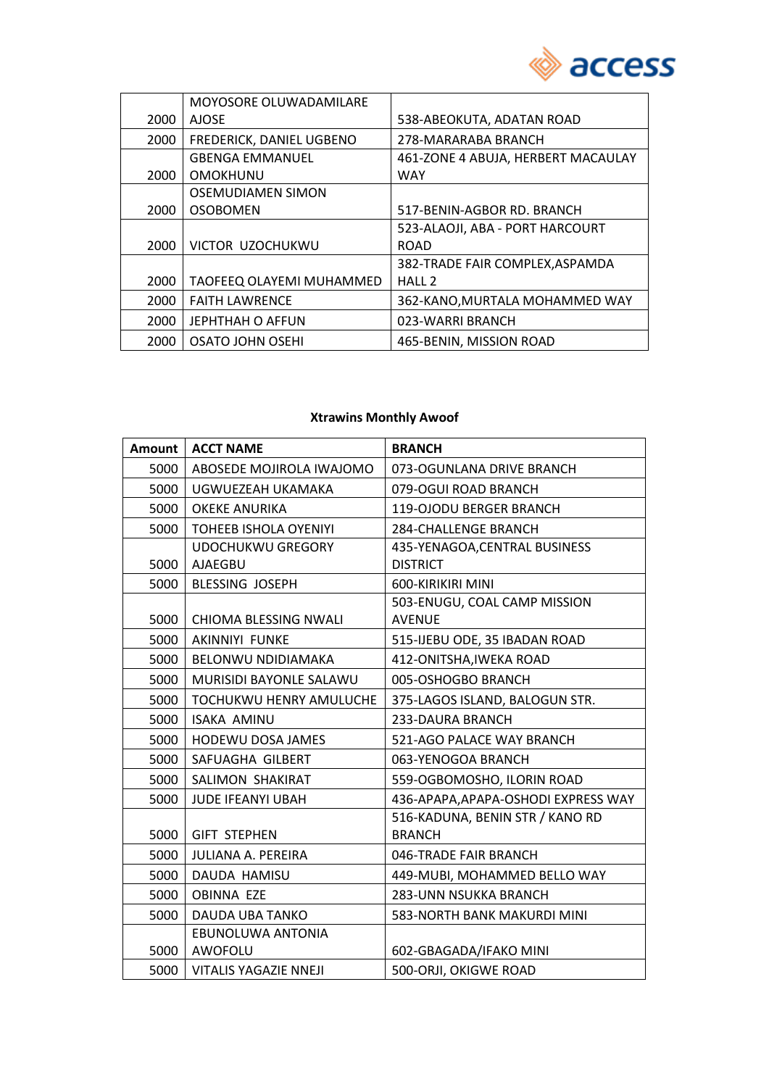

|      | MOYOSORE OLUWADAMILARE   |                                    |
|------|--------------------------|------------------------------------|
| 2000 | <b>AJOSE</b>             | 538-ABEOKUTA, ADATAN ROAD          |
| 2000 | FREDERICK, DANIEL UGBENO | 278-MARARABA BRANCH                |
|      | <b>GBENGA EMMANUEL</b>   | 461-ZONE 4 ABUJA, HERBERT MACAULAY |
| 2000 | <b>OMOKHUNU</b>          | <b>WAY</b>                         |
|      | <b>OSEMUDIAMEN SIMON</b> |                                    |
| 2000 | <b>OSOBOMEN</b>          | 517-BENIN-AGBOR RD. BRANCH         |
|      |                          | 523-ALAOJI, ABA - PORT HARCOURT    |
| 2000 | VICTOR UZOCHUKWU         | <b>ROAD</b>                        |
|      |                          | 382-TRADE FAIR COMPLEX, ASPAMDA    |
| 2000 | TAOFEEQ OLAYEMI MUHAMMED | HALL <sub>2</sub>                  |
| 2000 | <b>FAITH LAWRENCE</b>    | 362-KANO, MURTALA MOHAMMED WAY     |
| 2000 | <b>JEPHTHAH O AFFUN</b>  | 023-WARRI BRANCH                   |
| 2000 | OSATO JOHN OSEHI         | 465-BENIN, MISSION ROAD            |

### **Xtrawins Monthly Awoof**

| Amount | <b>ACCT NAME</b>             | <b>BRANCH</b>                       |
|--------|------------------------------|-------------------------------------|
| 5000   | ABOSEDE MOJIROLA IWAJOMO     | 073-OGUNLANA DRIVE BRANCH           |
| 5000   | UGWUEZEAH UKAMAKA            | 079-OGUI ROAD BRANCH                |
| 5000   | <b>OKEKE ANURIKA</b>         | 119-OJODU BERGER BRANCH             |
| 5000   | <b>TOHEEB ISHOLA OYENIYI</b> | <b>284-CHALLENGE BRANCH</b>         |
|        | <b>UDOCHUKWU GREGORY</b>     | 435-YENAGOA, CENTRAL BUSINESS       |
| 5000   | AJAEGBU                      | <b>DISTRICT</b>                     |
| 5000   | <b>BLESSING JOSEPH</b>       | 600-KIRIKIRI MINI                   |
|        |                              | 503-ENUGU, COAL CAMP MISSION        |
| 5000   | CHIOMA BLESSING NWALI        | <b>AVENUE</b>                       |
| 5000   | <b>AKINNIYI FUNKE</b>        | 515-IJEBU ODE, 35 IBADAN ROAD       |
| 5000   | BELONWU NDIDIAMAKA           | 412-ONITSHA, IWEKA ROAD             |
| 5000   | MURISIDI BAYONLE SALAWU      | 005-OSHOGBO BRANCH                  |
| 5000   | TOCHUKWU HENRY AMULUCHE      | 375-LAGOS ISLAND, BALOGUN STR.      |
| 5000   | <b>ISAKA AMINU</b>           | 233-DAURA BRANCH                    |
| 5000   | <b>HODEWU DOSA JAMES</b>     | 521-AGO PALACE WAY BRANCH           |
| 5000   | SAFUAGHA GILBERT             | 063-YENOGOA BRANCH                  |
| 5000   | SALIMON SHAKIRAT             | 559-OGBOMOSHO, ILORIN ROAD          |
| 5000   | JUDE IFEANYI UBAH            | 436-APAPA, APAPA-OSHODI EXPRESS WAY |
|        |                              | 516-KADUNA, BENIN STR / KANO RD     |
| 5000   | <b>GIFT STEPHEN</b>          | <b>BRANCH</b>                       |
| 5000   | <b>JULIANA A. PEREIRA</b>    | 046-TRADE FAIR BRANCH               |
| 5000   | DAUDA HAMISU                 | 449-MUBI, MOHAMMED BELLO WAY        |
| 5000   | <b>OBINNA EZE</b>            | <b>283-UNN NSUKKA BRANCH</b>        |
| 5000   | <b>DAUDA UBA TANKO</b>       | 583-NORTH BANK MAKURDI MINI         |
|        | EBUNOLUWA ANTONIA            |                                     |
| 5000   | AWOFOLU                      | 602-GBAGADA/IFAKO MINI              |
| 5000   | <b>VITALIS YAGAZIE NNEJI</b> | 500-ORJI, OKIGWE ROAD               |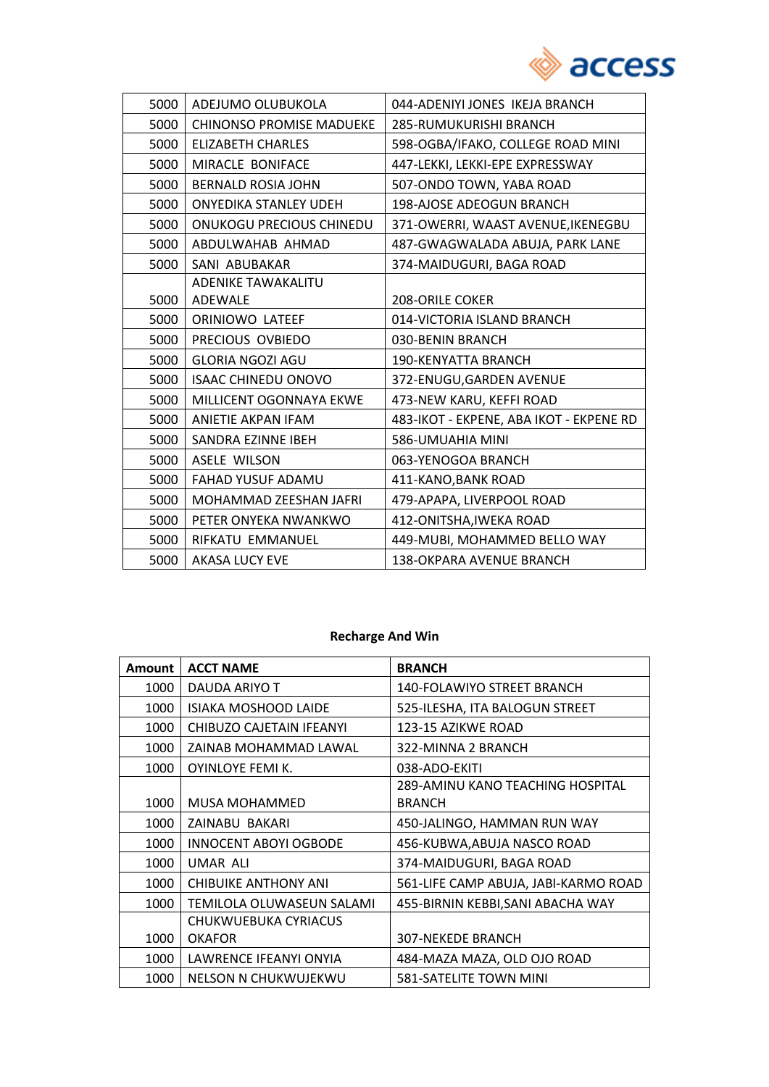

| 5000 | ADEJUMO OLUBUKOLA               | 044-ADENIYI JONES IKEJA BRANCH          |
|------|---------------------------------|-----------------------------------------|
| 5000 | <b>CHINONSO PROMISE MADUEKE</b> | 285-RUMUKURISHI BRANCH                  |
| 5000 | <b>ELIZABETH CHARLES</b>        | 598-OGBA/IFAKO, COLLEGE ROAD MINI       |
| 5000 | MIRACLE BONIFACE                | 447-LEKKI, LEKKI-EPE EXPRESSWAY         |
| 5000 | <b>BERNALD ROSIA JOHN</b>       | 507-ONDO TOWN, YABA ROAD                |
| 5000 | <b>ONYEDIKA STANLEY UDEH</b>    | 198-AJOSE ADEOGUN BRANCH                |
| 5000 | <b>ONUKOGU PRECIOUS CHINEDU</b> | 371-OWERRI, WAAST AVENUE, IKENEGBU      |
| 5000 | ABDULWAHAB AHMAD                | 487-GWAGWALADA ABUJA, PARK LANE         |
| 5000 | SANI ABUBAKAR                   | 374-MAIDUGURI, BAGA ROAD                |
|      | ADENIKE TAWAKALITU              |                                         |
| 5000 | ADEWALE                         | 208-ORILE COKER                         |
| 5000 | ORINIOWO LATEEF                 | 014-VICTORIA ISLAND BRANCH              |
| 5000 | PRECIOUS OVBIEDO                | 030-BENIN BRANCH                        |
| 5000 | <b>GLORIA NGOZI AGU</b>         | <b>190-KENYATTA BRANCH</b>              |
| 5000 | <b>ISAAC CHINEDU ONOVO</b>      | 372-ENUGU, GARDEN AVENUE                |
| 5000 | MILLICENT OGONNAYA EKWE         | 473-NEW KARU, KEFFI ROAD                |
| 5000 | ANIETIE AKPAN IFAM              | 483-IKOT - EKPENE, ABA IKOT - EKPENE RD |
| 5000 | SANDRA EZINNE IBEH              | 586-UMUAHIA MINI                        |
| 5000 | <b>ASELE WILSON</b>             | 063-YENOGOA BRANCH                      |
| 5000 | FAHAD YUSUF ADAMU               | 411-KANO, BANK ROAD                     |
| 5000 | MOHAMMAD ZEESHAN JAFRI          | 479-APAPA, LIVERPOOL ROAD               |
| 5000 | PETER ONYEKA NWANKWO            | 412-ONITSHA, IWEKA ROAD                 |
| 5000 | RIFKATU EMMANUEL                | 449-MUBI, MOHAMMED BELLO WAY            |
| 5000 | <b>AKASA LUCY EVE</b>           | <b>138-OKPARA AVENUE BRANCH</b>         |

### **Recharge And Win**

| <b>Amount</b> | <b>ACCT NAME</b>             | <b>BRANCH</b>                        |
|---------------|------------------------------|--------------------------------------|
| 1000          | DAUDA ARIYO T                | <b>140-FOLAWIYO STREET BRANCH</b>    |
| 1000          | <b>ISIAKA MOSHOOD LAIDE</b>  | 525-ILESHA, ITA BALOGUN STREET       |
| 1000          | CHIBUZO CAJETAIN IFEANYI     | 123-15 AZIKWE ROAD                   |
| 1000          | ZAINAB MOHAMMAD LAWAL        | 322-MINNA 2 BRANCH                   |
| 1000          | OYINLOYE FEMI K.             | 038-ADO-EKITI                        |
|               |                              | 289-AMINU KANO TEACHING HOSPITAL     |
| 1000          | <b>MUSA MOHAMMED</b>         | <b>BRANCH</b>                        |
| 1000          | ZAINABU BAKARI               | 450-JALINGO, HAMMAN RUN WAY          |
| 1000          | <b>INNOCENT ABOYI OGBODE</b> | 456-KUBWA, ABUJA NASCO ROAD          |
| 1000          | UMAR ALI                     | 374-MAIDUGURI, BAGA ROAD             |
| 1000          | CHIBUIKE ANTHONY ANI         | 561-LIFE CAMP ABUJA, JABI-KARMO ROAD |
| 1000          | TEMILOLA OLUWASEUN SALAMI    | 455-BIRNIN KEBBI, SANI ABACHA WAY    |
|               | CHUKWUEBUKA CYRIACUS         |                                      |
| 1000          | <b>OKAFOR</b>                | <b>307-NEKEDE BRANCH</b>             |
| 1000          | LAWRENCE IFEANYI ONYIA       | 484-MAZA MAZA, OLD OJO ROAD          |
| 1000          | NELSON N CHUKWUJEKWU         | 581-SATELITE TOWN MINI               |